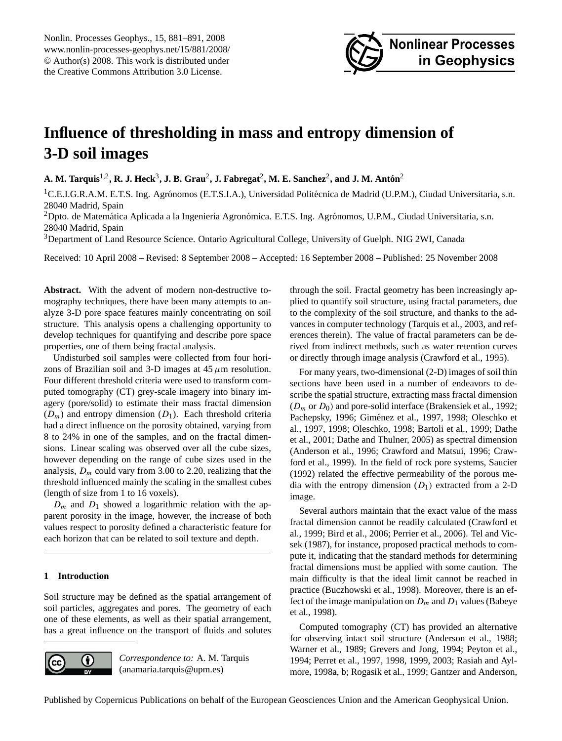

# <span id="page-0-0"></span>**Influence of thresholding in mass and entropy dimension of 3-D soil images**

 $\bf{A.~M.~Tarquis^{1,2}, R.~J.~Heck^3, J.~B.~Grau^2, J.~Fabregat^2, M.~E.~Sanchez^2, and J.~M.~Antón^2, and 2, and 3.~M.~C.~Sab, and 4, respectively.}$ 

 ${}^{1}$ C.E.I.G.R.A.M. E.T.S. Ing. Agrónomos (E.T.S.I.A.), Universidad Politécnica de Madrid (U.P.M.), Ciudad Universitaria, s.n. 28040 Madrid, Spain

 $2$ Dpto. de Matemática Aplicada a la Ingeniería Agronómica. E.T.S. Ing. Agrónomos, U.P.M., Ciudad Universitaria, s.n. 28040 Madrid, Spain

<sup>3</sup>Department of Land Resource Science. Ontario Agricultural College, University of Guelph. NIG 2WI, Canada

Received: 10 April 2008 – Revised: 8 September 2008 – Accepted: 16 September 2008 – Published: 25 November 2008

**Abstract.** With the advent of modern non-destructive tomography techniques, there have been many attempts to analyze 3-D pore space features mainly concentrating on soil structure. This analysis opens a challenging opportunity to develop techniques for quantifying and describe pore space properties, one of them being fractal analysis.

Undisturbed soil samples were collected from four horizons of Brazilian soil and 3-D images at  $45 \mu m$  resolution. Four different threshold criteria were used to transform computed tomography (CT) grey-scale imagery into binary imagery (pore/solid) to estimate their mass fractal dimension  $(D_m)$  and entropy dimension  $(D_1)$ . Each threshold criteria had a direct influence on the porosity obtained, varying from 8 to 24% in one of the samples, and on the fractal dimensions. Linear scaling was observed over all the cube sizes, however depending on the range of cube sizes used in the analysis,  $D_m$  could vary from 3.00 to 2.20, realizing that the threshold influenced mainly the scaling in the smallest cubes (length of size from 1 to 16 voxels).

 $D_m$  and  $D_1$  showed a logarithmic relation with the apparent porosity in the image, however, the increase of both values respect to porosity defined a characteristic feature for each horizon that can be related to soil texture and depth.

# **1 Introduction**

Soil structure may be defined as the spatial arrangement of soil particles, aggregates and pores. The geometry of each one of these elements, as well as their spatial arrangement, has a great influence on the transport of fluids and solutes



*Correspondence to:* A. M. Tarquis (anamaria.tarquis@upm.es)

through the soil. Fractal geometry has been increasingly applied to quantify soil structure, using fractal parameters, due to the complexity of the soil structure, and thanks to the advances in computer technology (Tarquis et al., 2003, and references therein). The value of fractal parameters can be derived from indirect methods, such as water retention curves or directly through image analysis (Crawford et al., 1995).

For many years, two-dimensional (2-D) images of soil thin sections have been used in a number of endeavors to describe the spatial structure, extracting mass fractal dimension  $(D_m$  or  $D_0$ ) and pore-solid interface (Brakensiek et al., 1992; Pachepsky, 1996; Giménez et al., 1997, 1998; Oleschko et al., 1997, 1998; Oleschko, 1998; Bartoli et al., 1999; Dathe et al., 2001; Dathe and Thulner, 2005) as spectral dimension (Anderson et al., 1996; Crawford and Matsui, 1996; Crawford et al., 1999). In the field of rock pore systems, Saucier (1992) related the effective permeability of the porous media with the entropy dimension  $(D_1)$  extracted from a 2-D image.

Several authors maintain that the exact value of the mass fractal dimension cannot be readily calculated (Crawford et al., 1999; Bird et al., 2006; Perrier et al., 2006). Tel and Vicsek (1987), for instance, proposed practical methods to compute it, indicating that the standard methods for determining fractal dimensions must be applied with some caution. The main difficulty is that the ideal limit cannot be reached in practice (Buczhowski et al., 1998). Moreover, there is an effect of the image manipulation on  $D_m$  and  $D_1$  values (Babeye et al., 1998).

Computed tomography (CT) has provided an alternative for observing intact soil structure (Anderson et al., 1988; Warner et al., 1989; Grevers and Jong, 1994; Peyton et al., 1994; Perret et al., 1997, 1998, 1999, 2003; Rasiah and Aylmore, 1998a, b; Rogasik et al., 1999; Gantzer and Anderson,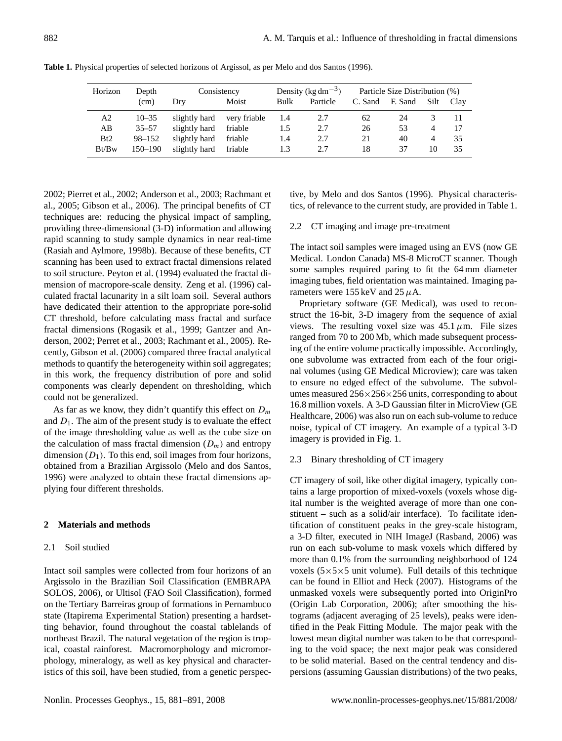| Horizon | Depth      | Consistency   |              | Density (kg dm <sup><math>-3</math></sup> ) |          | Particle Size Distribution (%) |         |      |      |
|---------|------------|---------------|--------------|---------------------------------------------|----------|--------------------------------|---------|------|------|
|         | (cm)       | Drv           | Moist        | Bulk                                        | Particle | C. Sand                        | F. Sand | Silt | Clay |
| A2      | $10 - 35$  | slightly hard | very friable | 1.4                                         | 2.7      | 62                             | 24      |      |      |
| AВ      | $35 - 57$  | slightly hard | friable      | 1.5                                         | 2.7      | 26                             | 53      | 4    |      |
| Bt2     | $98 - 152$ | slightly hard | friable      | 1.4                                         | 2.7      | 21                             | 40      | 4    | 35   |
| Bt/Bw   | 150–190    | slightly hard | friable      | 1.3                                         | 2.7      | 18                             | 37      | 10   | 35   |
|         |            |               |              |                                             |          |                                |         |      |      |

**Table 1.** Physical properties of selected horizons of Argissol, as per Melo and dos Santos (1996).

2002; Pierret et al., 2002; Anderson et al., 2003; Rachmant et al., 2005; Gibson et al., 2006). The principal benefits of CT techniques are: reducing the physical impact of sampling, providing three-dimensional (3-D) information and allowing rapid scanning to study sample dynamics in near real-time (Rasiah and Aylmore, 1998b). Because of these benefits, CT scanning has been used to extract fractal dimensions related to soil structure. Peyton et al. (1994) evaluated the fractal dimension of macropore-scale density. Zeng et al. (1996) calculated fractal lacunarity in a silt loam soil. Several authors have dedicated their attention to the appropriate pore-solid CT threshold, before calculating mass fractal and surface fractal dimensions (Rogasik et al., 1999; Gantzer and Anderson, 2002; Perret et al., 2003; Rachmant et al., 2005). Recently, Gibson et al. (2006) compared three fractal analytical methods to quantify the heterogeneity within soil aggregates; in this work, the frequency distribution of pore and solid components was clearly dependent on thresholding, which could not be generalized.

As far as we know, they didn't quantify this effect on  $D_m$ and  $D_1$ . The aim of the present study is to evaluate the effect of the image thresholding value as well as the cube size on the calculation of mass fractal dimension  $(D_m)$  and entropy dimension  $(D_1)$ . To this end, soil images from four horizons, obtained from a Brazilian Argissolo (Melo and dos Santos, 1996) were analyzed to obtain these fractal dimensions applying four different thresholds.

#### **2 Materials and methods**

### 2.1 Soil studied

Intact soil samples were collected from four horizons of an Argissolo in the Brazilian Soil Classification (EMBRAPA SOLOS, 2006), or Ultisol (FAO Soil Classification), formed on the Tertiary Barreiras group of formations in Pernambuco state (Itapirema Experimental Station) presenting a hardsetting behavior, found throughout the coastal tablelands of northeast Brazil. The natural vegetation of the region is tropical, coastal rainforest. Macromorphology and micromorphology, mineralogy, as well as key physical and characteristics of this soil, have been studied, from a genetic perspective, by Melo and dos Santos (1996). Physical characteristics, of relevance to the current study, are provided in Table 1.

# 2.2 CT imaging and image pre-treatment

The intact soil samples were imaged using an EVS (now GE Medical. London Canada) MS-8 MicroCT scanner. Though some samples required paring to fit the 64 mm diameter imaging tubes, field orientation was maintained. Imaging parameters were 155 keV and 25  $\mu$ A.

Proprietary software (GE Medical), was used to reconstruct the 16-bit, 3-D imagery from the sequence of axial views. The resulting voxel size was  $45.1 \mu$ m. File sizes ranged from 70 to 200 Mb, which made subsequent processing of the entire volume practically impossible. Accordingly, one subvolume was extracted from each of the four original volumes (using GE Medical Microview); care was taken to ensure no edged effect of the subvolume. The subvolumes measured  $256\times256\times256$  units, corresponding to about 16.8 million voxels. A 3-D Gaussian filter in MicroView (GE Healthcare, 2006) was also run on each sub-volume to reduce noise, typical of CT imagery. An example of a typical 3-D imagery is provided in Fig. 1.

## 2.3 Binary thresholding of CT imagery

CT imagery of soil, like other digital imagery, typically contains a large proportion of mixed-voxels (voxels whose digital number is the weighted average of more than one constituent – such as a solid/air interface). To facilitate identification of constituent peaks in the grey-scale histogram, a 3-D filter, executed in NIH ImageJ (Rasband, 2006) was run on each sub-volume to mask voxels which differed by more than 0.1% from the surrounding neighborhood of 124 voxels  $(5 \times 5 \times 5)$  unit volume). Full details of this technique can be found in Elliot and Heck (2007). Histograms of the unmasked voxels were subsequently ported into OriginPro (Origin Lab Corporation, 2006); after smoothing the histograms (adjacent averaging of 25 levels), peaks were identified in the Peak Fitting Module. The major peak with the lowest mean digital number was taken to be that corresponding to the void space; the next major peak was considered to be solid material. Based on the central tendency and dispersions (assuming Gaussian distributions) of the two peaks,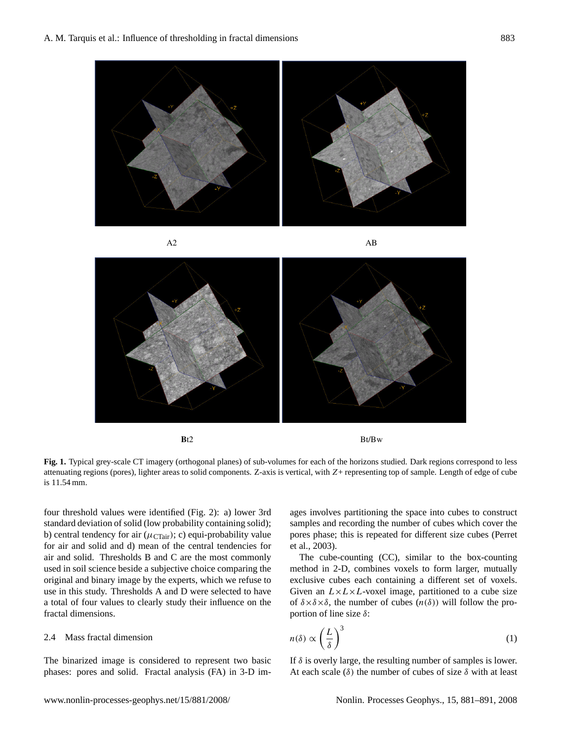



Figure 1. Typical grey-scale CT imagery (orthogonal planes) of sub-volumes for each of the **Fig. 1.** Typical grey-scale CT imagery (orthogonal planes) of sub-volumes for each of the horizons studied. Dark regions correspond to less attenuating regions (pores), lighter areas to solid components. Z-axis is vertical, with Z+ representing top of sample. Length of edge of cube is 11.54 mm.

for air and solid and d) mean of the central tendencies for four threshold values were identified (Fig. 2): a) lower 3rd standard deviation of solid (low probability containing solid); b) central tendency for air  $(\mu_{\text{CTair}})$ ; c) equi-probability value air and solid. Thresholds B and C are the most commonly used in soil science beside a subjective choice comparing the original and binary image by the experts, which we refuse to use in this study. Thresholds A and D were selected to have a total of four values to clearly study their influence on the fractal dimensions.

#### 2.4 Mass fractal dimension

The binarized image is considered to represent two basic phases: pores and solid. Fractal analysis (FA) in 3-D im-

horizons studied. Dark regions correspond to less attenuating regions (pores), lighter areas to ation of solid (low probability containing solid); samples and recording the number of cubes which cover the ages involves partitioning the space into cubes to construct pores phase; this is repeated for different size cubes (Perret et al., 2003).

> The cube-counting (CC), similar to the box-counting method in 2-D, combines voxels to form larger, mutually exclusive cubes each containing a different set of voxels. Given an  $L \times L \times L$ -voxel image, partitioned to a cube size of  $\delta \times \delta \times \delta$ , the number of cubes  $(n(\delta))$  will follow the proportion of line size  $δ$ :

$$
n(\delta) \propto \left(\frac{L}{\delta}\right)^3\tag{1}
$$

If  $\delta$  is overly large, the resulting number of samples is lower. At each scale  $(\delta)$  the number of cubes of size  $\delta$  with at least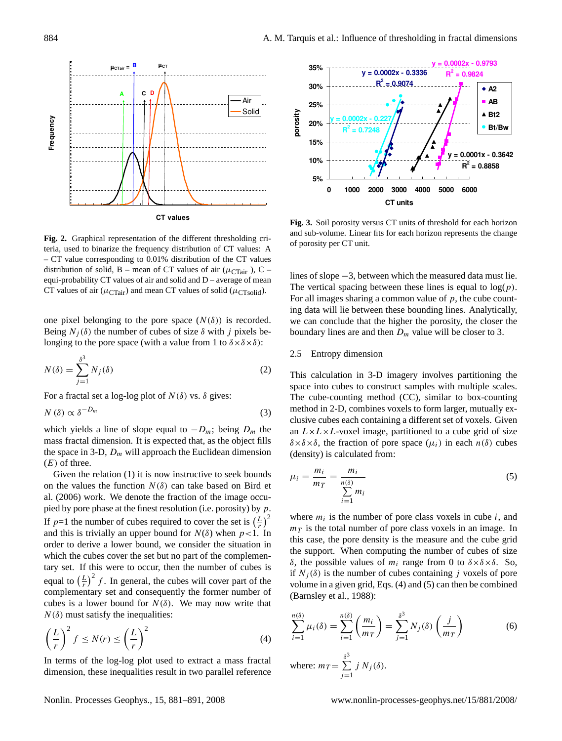

Fig. 2. Graphical representation of the different thresholding criteria, used to binarize the frequency distribution of CT values: A distribution of solid, B – mean of CT values of air ( $\mu_{\text{CTair}}$  ), C –  $V_1$  are producing the mean CT values of solid ( $\mu$ <sub>CTsolid</sub>). – CT value corresponding to 0.01% distribution of the CT values equi-probability CT values of air and solid and D – average of mean

one pixel belonging to the pore space  $(N(\delta))$  is recorded. Being  $N_i(\delta)$  the number of cubes of size  $\delta$  with j pixels belonging to the pore space (with a value from 1 to  $\delta \times \delta \times \delta$ ):

$$
N(\delta) = \sum_{j=1}^{\delta^3} N_j(\delta)
$$
 (2)

For a fractal set a log-log plot of  $N(\delta)$  vs.  $\delta$  gives:

$$
N(\delta) \propto \delta^{-D_m} \tag{3}
$$

which yields a line of slope equal to  $-D_m$ ; being  $D_m$  the mass fractal dimension. It is expected that, as the object fills the space in 3-D,  $D_m$  will approach the Euclidean dimension  $(E)$  of three.

Given the relation (1) it is now instructive to seek bounds on the values the function  $N(\delta)$  can take based on Bird et al. (2006) work. We denote the fraction of the image occupied by pore phase at the finest resolution (i.e. porosity) by  $p$ . If  $p=1$  the number of cubes required to cover the set is  $\left(\frac{L}{r}\right)^2$ and this is trivially an upper bound for  $N(\delta)$  when  $p<1$ . In order to derive a lower bound, we consider the situation in which the cubes cover the set but no part of the complementary set. If this were to occur, then the number of cubes is equal to  $\left(\frac{L}{r}\right)^2 f$ . In general, the cubes will cover part of the complementary set and consequently the former number of cubes is a lower bound for  $N(\delta)$ . We may now write that  $N(\delta)$  must satisfy the inequalities:

$$
\left(\frac{L}{r}\right)^2 f \le N(r) \le \left(\frac{L}{r}\right)^2\tag{4}
$$

In terms of the log-log plot used to extract a mass fractal dimension, these inequalities result in two parallel reference



Fig. 3. Soil porosity versus CT units of threshold for each horizon of porosity per CT unit. and sub-volume. Linear fits for each horizon represents the change

lines of slope −3, between which the measured data must lie. The vertical spacing between these lines is equal to  $log(p)$ . For all images sharing a common value of  $p$ , the cube counting data will lie between these bounding lines. Analytically, we can conclude that the higher the porosity, the closer the boundary lines are and then  $D_m$  value will be closer to 3.

# 2.5 Entropy dimension

30 clusive cubes each containing a different set of voxels. Given This calculation in 3-D imagery involves partitioning the space into cubes to construct samples with multiple scales. The cube-counting method (CC), similar to box-counting method in 2-D, combines voxels to form larger, mutually exan  $L \times L \times L$ -voxel image, partitioned to a cube grid of size  $\delta \times \delta \times \delta$ , the fraction of pore space  $(\mu_i)$  in each  $n(\delta)$  cubes (density) is calculated from:

$$
\mu_i = \frac{m_i}{m_T} = \frac{m_i}{\sum_{i=1}^{n(\delta)} m_i} \tag{5}
$$

where  $m_i$  is the number of pore class voxels in cube i, and  $m<sub>T</sub>$  is the total number of pore class voxels in an image. In this case, the pore density is the measure and the cube grid the support. When computing the number of cubes of size δ, the possible values of  $m_i$  range from 0 to  $\delta \times \delta \times \delta$ . So, if  $N_i(\delta)$  is the number of cubes containing j voxels of pore volume in a given grid, Eqs. (4) and (5) can then be combined (Barnsley et al., 1988):

$$
\sum_{i=1}^{n(\delta)} \mu_i(\delta) = \sum_{i=1}^{n(\delta)} \left(\frac{m_i}{m_T}\right) = \sum_{j=1}^{\delta^3} N_j(\delta) \left(\frac{j}{m_T}\right)
$$
(6)  
where:  $m_T = \sum_{j=1}^{\delta^3} j N_j(\delta)$ .

 $j=1$ 

Nonlin. Processes Geophys., 15, 881[–891,](#page-0-0) 2008 www.nonlin-processes-geophys.net/15/881/2008/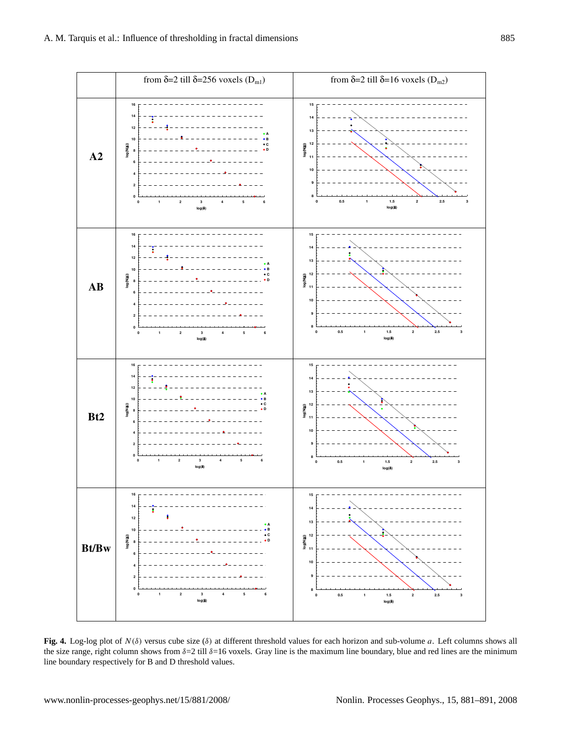

**Fig. 4.** Log-log plot of N (δ) versus cube size (δ) at different threshold values for each horizon and sub-volume a. Left columns shows all the size range, right column shows from  $\delta = 2$  till  $\delta = 16$  voxels. Gray line is the maximum line boundary, blue and red lines are the minimum line boundary respectively for B and D threshold values.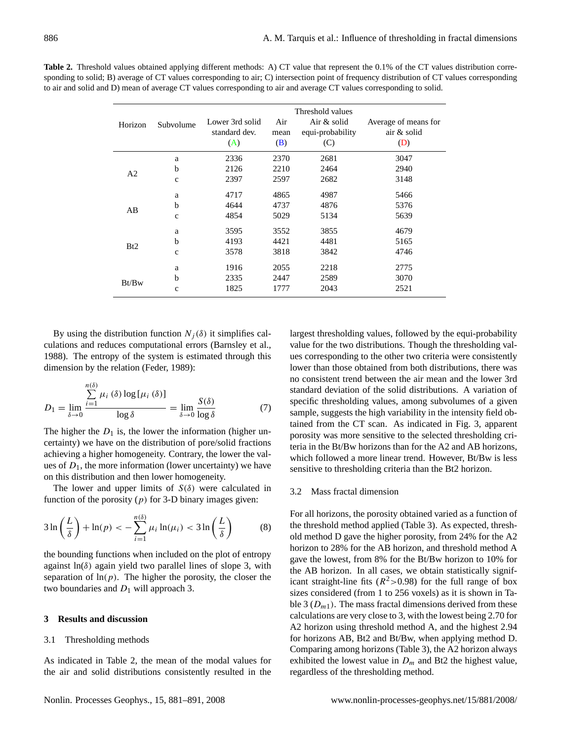|                |              | Threshold values                        |                    |                                        |                                            |  |  |
|----------------|--------------|-----------------------------------------|--------------------|----------------------------------------|--------------------------------------------|--|--|
| Horizon        | Subvolume    | Lower 3rd solid<br>standard dev.<br>(A) | Air<br>mean<br>(B) | Air & solid<br>equi-probability<br>(C) | Average of means for<br>air & solid<br>(D) |  |  |
|                | a            | 2336                                    | 2370               | 2681                                   | 3047                                       |  |  |
| A <sub>2</sub> | b            | 2126                                    | 2210               | 2464                                   | 2940                                       |  |  |
|                | $\mathbf{c}$ | 2397                                    | 2597               | 2682                                   | 3148                                       |  |  |
|                | a            | 4717                                    | 4865               | 4987                                   | 5466                                       |  |  |
| AB             | b            | 4644                                    | 4737               | 4876                                   | 5376                                       |  |  |
|                | $\mathbf{c}$ | 4854                                    | 5029               | 5134                                   | 5639                                       |  |  |
|                | a            | 3595                                    | 3552               | 3855                                   | 4679                                       |  |  |
|                | b            | 4193                                    | 4421               | 4481                                   | 5165                                       |  |  |
| Bt2            | $\mathbf{c}$ | 3578                                    | 3818               | 3842                                   | 4746                                       |  |  |
|                | a            | 1916                                    | 2055               | 2218                                   | 2775                                       |  |  |
|                | b            | 2335                                    | 2447               | 2589                                   | 3070                                       |  |  |
| Bt/Bw          | $\mathbf{c}$ | 1825                                    | 1777               | 2043                                   | 2521                                       |  |  |

**Table 2.** Threshold values obtained applying different methods: A) CT value that represent the 0.1% of the CT values distribution corresponding to solid; B) average of CT values corresponding to air; C) intersection point of frequency distribution of CT values corresponding to air and solid and D) mean of average CT values corresponding to air and average CT values corresponding to solid.

By using the distribution function  $N_i(\delta)$  it simplifies calculations and reduces computational errors (Barnsley et al., 1988). The entropy of the system is estimated through this dimension by the relation (Feder, 1989):

$$
D_1 = \lim_{\delta \to 0} \frac{\sum_{i=1}^{n(\delta)} \mu_i(\delta) \log \left[\mu_i(\delta)\right]}{\log \delta} = \lim_{\delta \to 0} \frac{S(\delta)}{\log \delta} \tag{7}
$$

The higher the  $D_1$  is, the lower the information (higher uncertainty) we have on the distribution of pore/solid fractions achieving a higher homogeneity. Contrary, the lower the values of  $D_1$ , the more information (lower uncertainty) we have on this distribution and then lower homogeneity.

The lower and upper limits of  $S(\delta)$  were calculated in function of the porosity  $(p)$  for 3-D binary images given:

$$
3\ln\left(\frac{L}{\delta}\right) + \ln(p) < -\sum_{i=1}^{n(\delta)}\mu_i\ln(\mu_i) < 3\ln\left(\frac{L}{\delta}\right) \tag{8}
$$

the bounding functions when included on the plot of entropy against  $ln(\delta)$  again yield two parallel lines of slope 3, with separation of  $ln(p)$ . The higher the porosity, the closer the two boundaries and  $D_1$  will approach 3.

# **3 Results and discussion**

#### 3.1 Thresholding methods

As indicated in Table 2, the mean of the modal values for the air and solid distributions consistently resulted in the largest thresholding values, followed by the equi-probability value for the two distributions. Though the thresholding values corresponding to the other two criteria were consistently lower than those obtained from both distributions, there was no consistent trend between the air mean and the lower 3rd standard deviation of the solid distributions. A variation of specific thresholding values, among subvolumes of a given sample, suggests the high variability in the intensity field obtained from the CT scan. As indicated in Fig. 3, apparent porosity was more sensitive to the selected thresholding criteria in the Bt/Bw horizons than for the A2 and AB horizons, which followed a more linear trend. However, Bt/Bw is less sensitive to thresholding criteria than the Bt2 horizon.

## 3.2 Mass fractal dimension

For all horizons, the porosity obtained varied as a function of the threshold method applied (Table 3). As expected, threshold method D gave the higher porosity, from 24% for the A2 horizon to 28% for the AB horizon, and threshold method A gave the lowest, from 8% for the Bt/Bw horizon to 10% for the AB horizon. In all cases, we obtain statistically significant straight-line fits  $(R^2 > 0.98)$  for the full range of box sizes considered (from 1 to 256 voxels) as it is shown in Table 3 ( $D_{m1}$ ). The mass fractal dimensions derived from these calculations are very close to 3, with the lowest being 2.70 for A2 horizon using threshold method A, and the highest 2.94 for horizons AB, Bt2 and Bt/Bw, when applying method D. Comparing among horizons (Table 3), the A2 horizon always exhibited the lowest value in  $D_m$  and Bt2 the highest value, regardless of the thresholding method.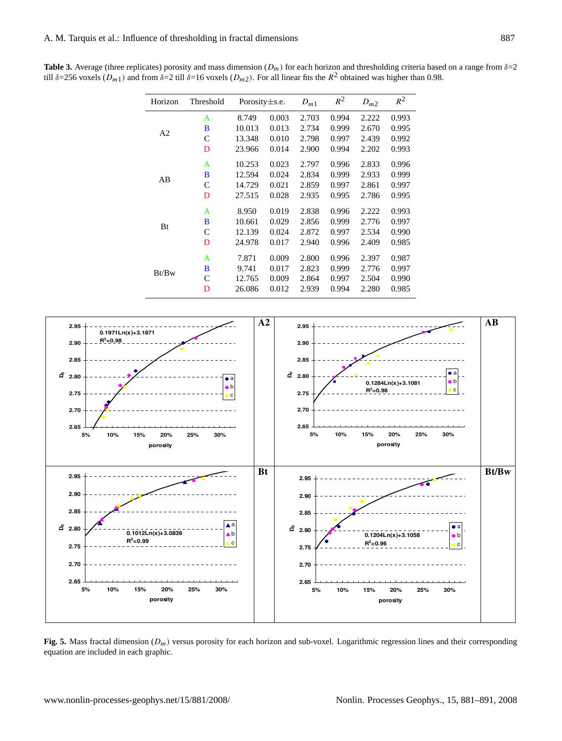**Table 3.** Average (three replicates) porosity and mass dimension  $(D_m)$  for each horizon and thresholding criteria based on a range from  $\delta=2$ till  $\delta$ =256 voxels ( $D_{m1}$ ) and from  $\delta$ =2 till  $\delta$ =16 voxels ( $D_{m2}$ ). For all linear fits the  $R^2$  obtained was higher than 0.98.

| Horizon        | Threshold | Porosity $\pm$ s.e. |       | $D_{m1}$ | $R^2$ | $D_{m2}$ | $R^2$ |
|----------------|-----------|---------------------|-------|----------|-------|----------|-------|
|                | A         | 8.749               | 0.003 | 2.703    | 0.994 | 2.222    | 0.993 |
| A <sub>2</sub> | B         | 10.013              | 0.013 | 2.734    | 0.999 | 2.670    | 0.995 |
|                | C         | 13.348              | 0.010 | 2.798    | 0.997 | 2.439    | 0.992 |
|                | D         | 23.966              | 0.014 | 2.900    | 0.994 | 2.202    | 0.993 |
|                | A         | 10.253              | 0.023 | 2.797    | 0.996 | 2.833    | 0.996 |
| AB             | B         | 12.594              | 0.024 | 2.834    | 0.999 | 2.933    | 0.999 |
|                | C         | 14.729              | 0.021 | 2.859    | 0.997 | 2.861    | 0.997 |
|                | D         | 27.515              | 0.028 | 2.935    | 0.995 | 2.786    | 0.995 |
|                | A         | 8.950               | 0.019 | 2.838    | 0.996 | 2.222    | 0.993 |
| Bt             | B         | 10.661              | 0.029 | 2.856    | 0.999 | 2.776    | 0.997 |
|                | C         | 12.139              | 0.024 | 2.872    | 0.997 | 2.534    | 0.990 |
|                | D         | 24.978              | 0.017 | 2.940    | 0.996 | 2.409    | 0.985 |
|                | A         | 7.871               | 0.009 | 2.800    | 0.996 | 2.397    | 0.987 |
| Bt/Bw          | B         | 9.741               | 0.017 | 2.823    | 0.999 | 2.776    | 0.997 |
|                | C         | 12.765              | 0.009 | 2.864    | 0.997 | 2.504    | 0.990 |
|                | D         | 26.086              | 0.012 | 2.939    | 0.994 | 2.280    | 0.985 |



Fig. 5. Mass fractal dimension  $(D_m)$  versus porosity for each horizon and sub-voxel. Logarithmic regression lines and their corresponding equation are included in each graphic.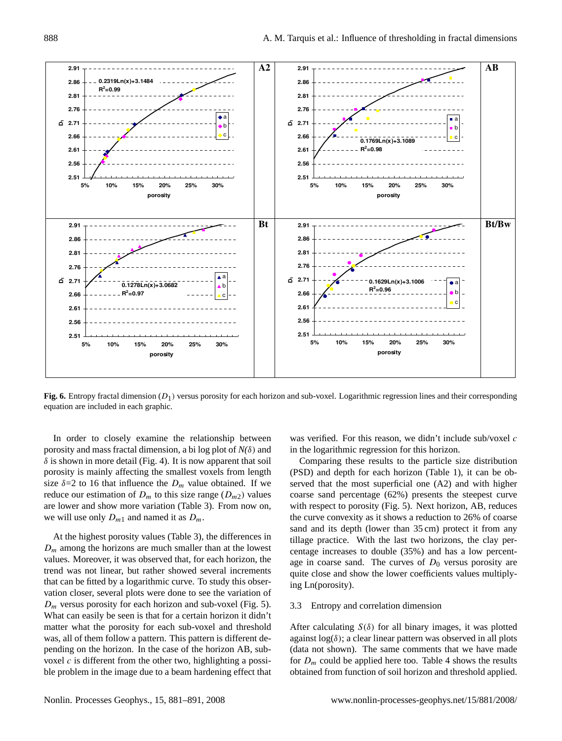

Fig. 6. Entropy fractal dimension  $(D_1)$  versus porosity for each horizon and sub-voxel. Logarithmic regression lines and their corresponding their corresponded equation are included in each graphic. equation are included in each graphic.

In order to closely examine the relationship between porosity and mass fractal dimension, a bi log plot of *N(*δ) and  $\delta$  is shown in more detail (Fig. 4). It is now apparent that soil porosity is mainly affecting the smallest voxels from length size  $\delta = 2$  to 16 that influence the  $D_m$  value obtained. If we reduce our estimation of  $D_m$  to this size range  $(D_{m2})$  values are lower and show more variation (Table 3). From now on, we will use only  $D_{m1}$  and named it as  $D_m$ .

At the highest porosity values (Table 3), the differences in  $D_m$  among the horizons are much smaller than at the lowest values. Moreover, it was observed that, for each horizon, the trend was not linear, but rather showed several increments that can be fitted by a logarithmic curve. To study this observation closer, several plots were done to see the variation of  $D_m$  versus porosity for each horizon and sub-voxel (Fig. 5). What can easily be seen is that for a certain horizon it didn't matter what the porosity for each sub-voxel and threshold was, all of them follow a pattern. This pattern is different depending on the horizon. In the case of the horizon AB, subvoxel  $c$  is different from the other two, highlighting a possible problem in the image due to a beam hardening effect that

was verified. For this reason, we didn't include sub/voxel c in the logarithmic regression for this horizon.

Comparing these results to the particle size distribution (PSD) and depth for each horizon (Table 1), it can be observed that the most superficial one (A2) and with higher coarse sand percentage (62%) presents the steepest curve with respect to porosity (Fig. 5). Next horizon, AB, reduces the curve convexity as it shows a reduction to 26% of coarse sand and its depth (lower than 35 cm) protect it from any tillage practice. With the last two horizons, the clay percentage increases to double (35%) and has a low percentage in coarse sand. The curves of  $D_0$  versus porosity are quite close and show the lower coefficients values multiplying Ln(porosity).

#### 3.3 Entropy and correlation dimension

After calculating  $S(\delta)$  for all binary images, it was plotted against  $log(\delta)$ ; a clear linear pattern was observed in all plots (data not shown). The same comments that we have made for  $D_m$  could be applied here too. Table 4 shows the results obtained from function of soil horizon and threshold applied.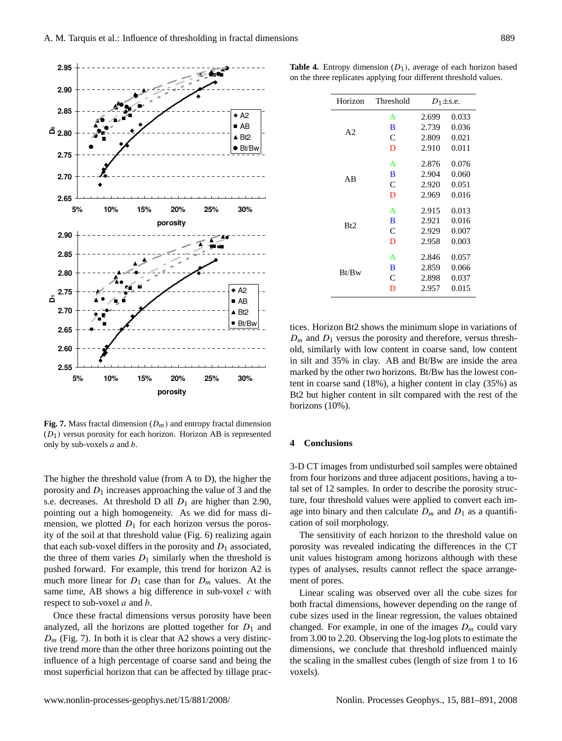

**Fig. 7.** Mass fractal dimension  $(D_m)$  and entropy fractal dimension Figure 7. Mass fractal dimension (  $\theta$  **Conclusions** (  $\theta$  **4 Conclusions**  $(D_1)$  versus porosity for each horizon. Horizon AB is represented

Figure 7. Mass fractal dimension (  $\mu$  ), the mass fractal dimension (  $\mu$  ) and the porosity and  $D_1$  increases approaching the value of 3 and the tal set of 12 sample pointing out a high homogeneity. As we did for mass di-<br>age into binary The higher the threshold value (from A to D), the higher the threshold value (from A to D), the higher the  $\sim$ s.e. decreases. At threshold D all  $D_1$  are higher than 2.90, mension, we plotted  $D_1$  for each horizon versus the porosity of the soil at that threshold value (Fig. 6) realizing again that each sub-voxel differs in the porosity and  $D_1$  associated, the three of them varies  $D_1$  similarly when the threshold is pushed forward. For example, this trend for horizon A2 is much more linear for  $D_1$  case than for  $D_m$  values. At the same time, AB shows a big difference in sub-voxel  $c$  with respect to sub-voxel *a* and *b*.

Once these fractal dimensions versus porosity have been analyzed, all the horizons are plotted together for  $D_1$  and  $D_m$  (Fig. 7). In both it is clear that A2 shows a very distinctive trend more than the other three horizons pointing out the influence of a high percentage of coarse sand and being the most superficial horizon that can be affected by tillage prac-

**Table 4.** Entropy dimension  $(D_1)$ , average of each horizon based on the three replicates applying four different threshold values.

| Horizon        | Threshold | $D_1 \pm$ s.e. |       |  |  |
|----------------|-----------|----------------|-------|--|--|
|                | A         | 2.699          | 0.033 |  |  |
| A <sub>2</sub> | B         | 2.739          | 0.036 |  |  |
|                | C         | 2.809          | 0.021 |  |  |
|                | D         | 2.910          | 0.011 |  |  |
|                | A         | 2.876          | 0.076 |  |  |
|                | B         | 2.904          | 0.060 |  |  |
| ΑB             | C         | 2.920          | 0.051 |  |  |
|                | D         | 2.969          | 0.016 |  |  |
| Bt2            | A         | 2.915          | 0.013 |  |  |
|                | B         | 2.921          | 0.016 |  |  |
|                | C         | 2.929          | 0.007 |  |  |
|                | D         | 2.958          | 0.003 |  |  |
|                | A         | 2.846          | 0.057 |  |  |
| Bt/Bw          | B         | 2.859          | 0.066 |  |  |
|                | C         | 2.898          | 0.037 |  |  |
|                | D         | 2.957          | 0.015 |  |  |

tices. Horizon Bt2 shows the minimum slope in variations of  $D_m$  and  $D_1$  versus the porosity and therefore, versus threshold, similarly with low content in coarse sand, low content in silt and 35% in clay. AB and Bt/Bw are inside the area marked by the other two horizons. Bt/Bw has the lowest content in coarse sand (18%), a higher content in clay (35%) as Bt2 but higher content in silt compared with the rest of the horizons (10%).

#### **4 Conclusions**

tal set of 12 samples. In order to describe the porosity struc-3-D CT images from undisturbed soil samples were obtained from four horizons and three adjacent positions, having a toture, four threshold values were applied to convert each image into binary and then calculate  $D_m$  and  $D_1$  as a quantification of soil morphology.

The sensitivity of each horizon to the threshold value on porosity was revealed indicating the differences in the CT unit values histogram among horizons although with these types of analyses, results cannot reflect the space arrangement of pores.

36 from 3.00 to 2.20. Observing the log-log plots to estimate the both fractal dimensions, however depending on the range of Linear scaling was observed over all the cube sizes for cube sizes used in the linear regression, the values obtained changed. For example, in one of the images  $D_m$  could vary dimensions, we conclude that threshold influenced mainly the scaling in the smallest cubes (length of size from 1 to 16 voxels).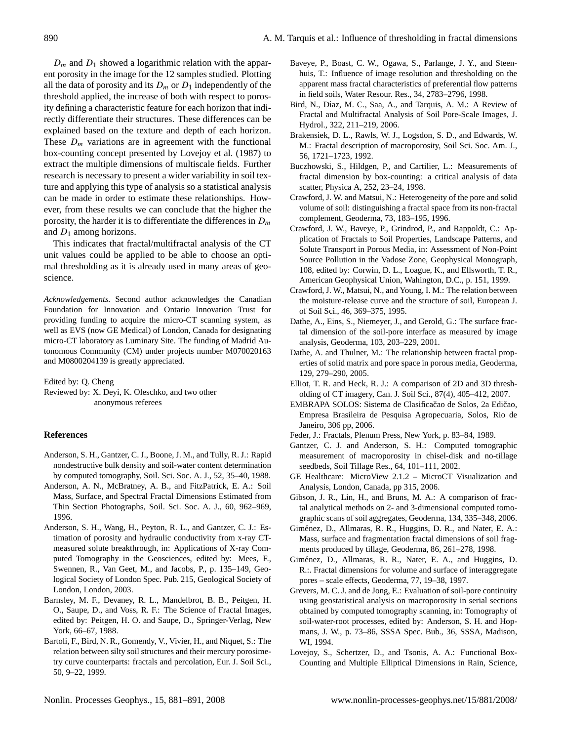$D_m$  and  $D_1$  showed a logarithmic relation with the apparent porosity in the image for the 12 samples studied. Plotting all the data of porosity and its  $D_m$  or  $D_1$  independently of the threshold applied, the increase of both with respect to porosity defining a characteristic feature for each horizon that indirectly differentiate their structures. These differences can be explained based on the texture and depth of each horizon. These  $D_m$  variations are in agreement with the functional box-counting concept presented by Lovejoy et al. (1987) to extract the multiple dimensions of multiscale fields. Further research is necessary to present a wider variability in soil texture and applying this type of analysis so a statistical analysis can be made in order to estimate these relationships. However, from these results we can conclude that the higher the porosity, the harder it is to differentiate the differences in  $D_m$ and  $D_1$  among horizons.

This indicates that fractal/multifractal analysis of the CT unit values could be applied to be able to choose an optimal thresholding as it is already used in many areas of geoscience.

*Acknowledgements.* Second author acknowledges the Canadian Foundation for Innovation and Ontario Innovation Trust for providing funding to acquire the micro-CT scanning system, as well as EVS (now GE Medical) of London, Canada for designating micro-CT laboratory as Luminary Site. The funding of Madrid Autonomous Community (CM) under projects number M070020163 and M0800204139 is greatly appreciated.

Edited by: Q. Cheng

Reviewed by: X. Deyi, K. Oleschko, and two other anonymous referees

### **References**

- Anderson, S. H., Gantzer, C. J., Boone, J. M., and Tully, R. J.: Rapid nondestructive bulk density and soil-water content determination by computed tomography, Soil. Sci. Soc. A. J., 52, 35–40, 1988.
- Anderson, A. N., McBratney, A. B., and FitzPatrick, E. A.: Soil Mass, Surface, and Spectral Fractal Dimensions Estimated from Thin Section Photographs, Soil. Sci. Soc. A. J., 60, 962–969, 1996.
- Anderson, S. H., Wang, H., Peyton, R. L., and Gantzer, C. J.: Estimation of porosity and hydraulic conductivity from x-ray CTmeasured solute breakthrough, in: Applications of X-ray Computed Tomography in the Geosciences, edited by: Mees, F., Swennen, R., Van Geet, M., and Jacobs, P., p. 135–149, Geological Society of London Spec. Pub. 215, Geological Society of London, London, 2003.
- Barnsley, M. F., Devaney, R. L., Mandelbrot, B. B., Peitgen, H. O., Saupe, D., and Voss, R. F.: The Science of Fractal Images, edited by: Peitgen, H. O. and Saupe, D., Springer-Verlag, New York, 66–67, 1988.
- Bartoli, F., Bird, N. R., Gomendy, V., Vivier, H., and Niquet, S.: The relation between silty soil structures and their mercury porosimetry curve counterparts: fractals and percolation, Eur. J. Soil Sci., 50, 9–22, 1999.
- Baveye, P., Boast, C. W., Ogawa, S., Parlange, J. Y., and Steenhuis, T.: Influence of image resolution and thresholding on the apparent mass fractal characteristics of preferential flow patterns in field soils, Water Resour. Res., 34, 2783–2796, 1998.
- Bird, N., Díaz, M. C., Saa, A., and Tarquis, A. M.: A Review of Fractal and Multifractal Analysis of Soil Pore-Scale Images, J. Hydrol., 322, 211–219, 2006.
- Brakensiek, D. L., Rawls, W. J., Logsdon, S. D., and Edwards, W. M.: Fractal description of macroporosity, Soil Sci. Soc. Am. J., 56, 1721–1723, 1992.
- Buczhowski, S., Hildgen, P., and Cartilier, L.: Measurements of fractal dimension by box-counting: a critical analysis of data scatter, Physica A, 252, 23–24, 1998.
- Crawford, J. W. and Matsui, N.: Heterogeneity of the pore and solid volume of soil: distinguishing a fractal space from its non-fractal complement, Geoderma, 73, 183–195, 1996.
- Crawford, J. W., Baveye, P., Grindrod, P., and Rappoldt, C.: Application of Fractals to Soil Properties, Landscape Patterns, and Solute Transport in Porous Media, in: Assessment of Non-Point Source Pollution in the Vadose Zone, Geophysical Monograph, 108, edited by: Corwin, D. L., Loague, K., and Ellsworth, T. R., American Geophysical Union, Wahington, D.C., p. 151, 1999.
- Crawford, J. W., Matsui, N., and Young, I. M.: The relation between the moisture-release curve and the structure of soil, European J. of Soil Sci., 46, 369–375, 1995.
- Dathe, A., Eins, S., Niemeyer, J., and Gerold, G.: The surface fractal dimension of the soil-pore interface as measured by image analysis, Geoderma, 103, 203–229, 2001.
- Dathe, A. and Thulner, M.: The relationship between fractal properties of solid matrix and pore space in porous media, Geoderma, 129, 279–290, 2005.
- Elliot, T. R. and Heck, R. J.: A comparison of 2D and 3D thresholding of CT imagery, Can. J. Soil Sci., 87(4), 405–412, 2007.
- EMBRAPA SOLOS: Sistema de Clasificacao de Solos, 2a Edicao, Empresa Brasileira de Pesquisa Agropecuaria, Solos, Rio de Janeiro, 306 pp, 2006.
- Feder, J.: Fractals, Plenum Press, New York, p. 83–84, 1989.
- Gantzer, C. J. and Anderson, S. H.: Computed tomographic measurement of macroporosity in chisel-disk and no-tillage seedbeds, Soil Tillage Res., 64, 101–111, 2002.
- GE Healthcare: MicroView 2.1.2 MicroCT Visualization and Analysis, London, Canada, pp 315, 2006.
- Gibson, J. R., Lin, H., and Bruns, M. A.: A comparison of fractal analytical methods on 2- and 3-dimensional computed tomographic scans of soil aggregates, Geoderma, 134, 335–348, 2006.
- Giménez, D., Allmaras, R. R., Huggins, D. R., and Nater, E. A.: Mass, surface and fragmentation fractal dimensions of soil fragments produced by tillage, Geoderma, 86, 261–278, 1998.
- Giménez, D., Allmaras, R. R., Nater, E. A., and Huggins, D. R.:. Fractal dimensions for volume and surface of interaggregate pores – scale effects, Geoderma, 77, 19–38, 1997.
- Grevers, M. C. J. and de Jong, E.: Evaluation of soil-pore continuity using geostatistical analysis on macroporosity in serial sections obtained by computed tomography scanning, in: Tomography of soil-water-root processes, edited by: Anderson, S. H. and Hopmans, J. W., p. 73–86, SSSA Spec. Bub., 36, SSSA, Madison, WI, 1994.
- Lovejoy, S., Schertzer, D., and Tsonis, A. A.: Functional Box-Counting and Multiple Elliptical Dimensions in Rain, Science,